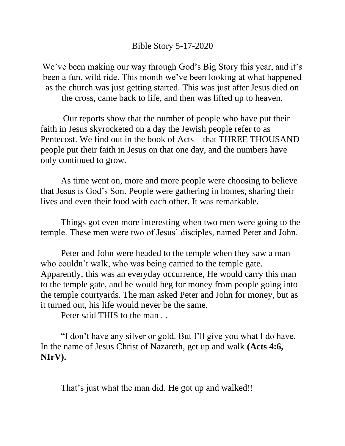## Bible Story 5-17-2020

We've been making our way through God's Big Story this year, and it's been a fun, wild ride. This month we've been looking at what happened as the church was just getting started. This was just after Jesus died on the cross, came back to life, and then was lifted up to heaven.

Our reports show that the number of people who have put their faith in Jesus skyrocketed on a day the Jewish people refer to as Pentecost. We find out in the book of Acts—that THREE THOUSAND people put their faith in Jesus on that one day, and the numbers have only continued to grow.

As time went on, more and more people were choosing to believe that Jesus is God's Son. People were gathering in homes, sharing their lives and even their food with each other. It was remarkable.

Things got even more interesting when two men were going to the temple. These men were two of Jesus' disciples, named Peter and John.

Peter and John were headed to the temple when they saw a man who couldn't walk, who was being carried to the temple gate. Apparently, this was an everyday occurrence, He would carry this man to the temple gate, and he would beg for money from people going into the temple courtyards. The man asked Peter and John for money, but as it turned out, his life would never be the same.

Peter said THIS to the man . .

"I don't have any silver or gold. But I'll give you what I do have. In the name of Jesus Christ of Nazareth, get up and walk **(Acts 4:6, NIrV).** 

That's just what the man did. He got up and walked!!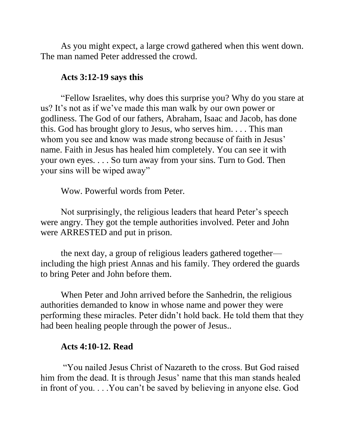As you might expect, a large crowd gathered when this went down. The man named Peter addressed the crowd.

## **Acts 3:12-19 says this**

"Fellow Israelites, why does this surprise you? Why do you stare at us? It's not as if we've made this man walk by our own power or godliness. The God of our fathers, Abraham, Isaac and Jacob, has done this. God has brought glory to Jesus, who serves him. . . . This man whom you see and know was made strong because of faith in Jesus' name. Faith in Jesus has healed him completely. You can see it with your own eyes. . . . So turn away from your sins. Turn to God. Then your sins will be wiped away"

Wow. Powerful words from Peter.

Not surprisingly, the religious leaders that heard Peter's speech were angry. They got the temple authorities involved. Peter and John were ARRESTED and put in prison.

the next day, a group of religious leaders gathered together including the high priest Annas and his family. They ordered the guards to bring Peter and John before them.

When Peter and John arrived before the Sanhedrin, the religious authorities demanded to know in whose name and power they were performing these miracles. Peter didn't hold back. He told them that they had been healing people through the power of Jesus..

## **Acts 4:10-12. Read**

"You nailed Jesus Christ of Nazareth to the cross. But God raised him from the dead. It is through Jesus' name that this man stands healed in front of you. . . .You can't be saved by believing in anyone else. God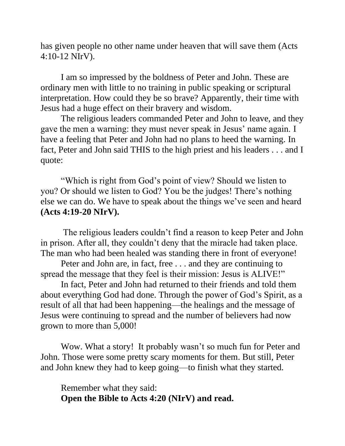has given people no other name under heaven that will save them (Acts 4:10-12 NIrV).

I am so impressed by the boldness of Peter and John. These are ordinary men with little to no training in public speaking or scriptural interpretation. How could they be so brave? Apparently, their time with Jesus had a huge effect on their bravery and wisdom.

The religious leaders commanded Peter and John to leave, and they gave the men a warning: they must never speak in Jesus' name again. I have a feeling that Peter and John had no plans to heed the warning. In fact, Peter and John said THIS to the high priest and his leaders . . . and I quote:

"Which is right from God's point of view? Should we listen to you? Or should we listen to God? You be the judges! There's nothing else we can do. We have to speak about the things we've seen and heard **(Acts 4:19-20 NIrV).**

The religious leaders couldn't find a reason to keep Peter and John in prison. After all, they couldn't deny that the miracle had taken place. The man who had been healed was standing there in front of everyone!

Peter and John are, in fact, free . . . and they are continuing to spread the message that they feel is their mission: Jesus is ALIVE!"

In fact, Peter and John had returned to their friends and told them about everything God had done. Through the power of God's Spirit, as a result of all that had been happening—the healings and the message of Jesus were continuing to spread and the number of believers had now grown to more than 5,000!

Wow. What a story! It probably wasn't so much fun for Peter and John. Those were some pretty scary moments for them. But still, Peter and John knew they had to keep going—to finish what they started.

Remember what they said: **Open the Bible to Acts 4:20 (NIrV) and read.**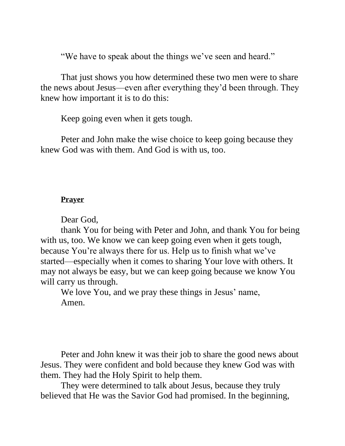"We have to speak about the things we've seen and heard."

That just shows you how determined these two men were to share the news about Jesus—even after everything they'd been through. They knew how important it is to do this:

Keep going even when it gets tough.

Peter and John make the wise choice to keep going because they knew God was with them. And God is with us, too.

## **Prayer**

Dear God,

thank You for being with Peter and John, and thank You for being with us, too. We know we can keep going even when it gets tough, because You're always there for us. Help us to finish what we've started—especially when it comes to sharing Your love with others. It may not always be easy, but we can keep going because we know You will carry us through.

We love You, and we pray these things in Jesus' name, Amen.

Peter and John knew it was their job to share the good news about Jesus. They were confident and bold because they knew God was with them. They had the Holy Spirit to help them.

They were determined to talk about Jesus, because they truly believed that He was the Savior God had promised. In the beginning,